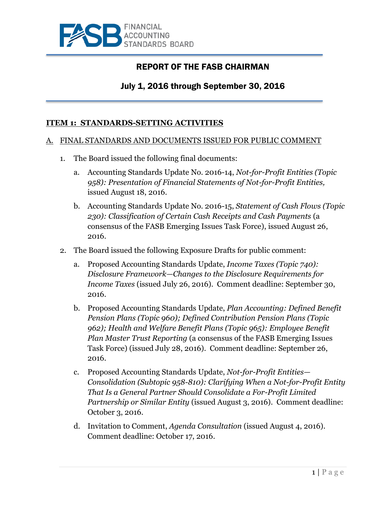

# REPORT OF THE FASB CHAIRMAN

# July 1, 2016 through September 30, 2016

## **ITEM 1: STANDARDS-SETTING ACTIVITIES**

#### A. FINAL STANDARDS AND DOCUMENTS ISSUED FOR PUBLIC COMMENT

- 1. The Board issued the following final documents:
	- a. Accounting Standards Update No. 2016-14, *Not-for-Profit Entities (Topic 958): Presentation of Financial Statements of Not-for-Profit Entities,*  issued August 18, 2016.
	- b. Accounting Standards Update No. 2016-15, *Statement of Cash Flows (Topic 230): Classification of Certain Cash Receipts and Cash Payments* (a consensus of the FASB Emerging Issues Task Force), issued August 26, 2016.
- 2. The Board issued the following Exposure Drafts for public comment:
	- a. Proposed Accounting Standards Update, *Income Taxes (Topic 740): Disclosure Framework—Changes to the Disclosure Requirements for Income Taxes* (issued July 26, 2016). Comment deadline: September 30, 2016.
	- b. Proposed Accounting Standards Update, *Plan Accounting: Defined Benefit Pension Plans (Topic 960); Defined Contribution Pension Plans (Topic 962); Health and Welfare Benefit Plans (Topic 965): Employee Benefit Plan Master Trust Reporting* (a consensus of the FASB Emerging Issues Task Force) (issued July 28, 2016). Comment deadline: September 26, 2016.
	- c. Proposed Accounting Standards Update, *Not-for-Profit Entities— Consolidation (Subtopic 958-810): Clarifying When a Not-for-Profit Entity That Is a General Partner Should Consolidate a For-Profit Limited Partnership or Similar Entity* (issued August 3, 2016). Comment deadline: October 3, 2016.
	- d. Invitation to Comment, *Agenda Consultation* (issued August 4, 2016). Comment deadline: October 17, 2016.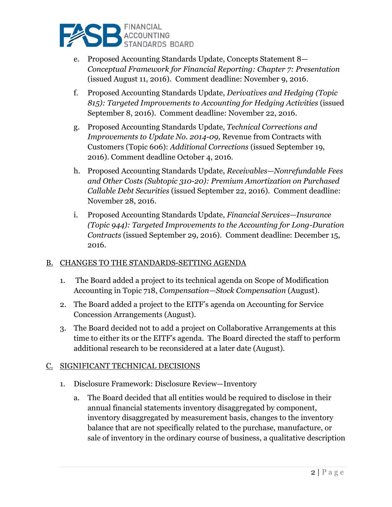

- e. Proposed Accounting Standards Update, Concepts Statement 8— *Conceptual Framework for Financial Reporting: Chapter 7: Presentation*  (issued August 11, 2016). Comment deadline: November 9, 2016.
- f. Proposed Accounting Standards Update, *Derivatives and Hedging (Topic 815): Targeted Improvements to Accounting for Hedging Activities* (issued September 8, 2016). Comment deadline: November 22, 2016.
- g. Proposed Accounting Standards Update, *Technical Corrections and Improvements to Update No. 2014-09,* Revenue from Contracts with Customers (Topic 606): *Additional Corrections* (issued September 19, 2016). Comment deadline October 4, 2016.
- h. Proposed Accounting Standards Update, *Receivables—Nonrefundable Fees and Other Costs (Subtopic 310-20): Premium Amortization on Purchased Callable Debt Securities* (issued September 22, 2016). Comment deadline: November 28, 2016.
- i. Proposed Accounting Standards Update, *Financial Services—Insurance (Topic 944): Targeted Improvements to the Accounting for Long-Duration Contracts* (issued September 29, 2016). Comment deadline: December 15, 2016.

### B. CHANGES TO THE STANDARDS-SETTING AGENDA

- 1. The Board added a project to its technical agenda on Scope of Modification Accounting in Topic 718, *Compensation—Stock Compensation* (August).
- 2. The Board added a project to the EITF's agenda on Accounting for Service Concession Arrangements (August).
- 3. The Board decided not to add a project on Collaborative Arrangements at this time to either its or the EITF's agenda. The Board directed the staff to perform additional research to be reconsidered at a later date (August).

#### C. SIGNIFICANT TECHNICAL DECISIONS

- 1. Disclosure Framework: Disclosure Review—Inventory
	- a. The Board decided that all entities would be required to disclose in their annual financial statements inventory disaggregated by component, inventory disaggregated by measurement basis, changes to the inventory balance that are not specifically related to the purchase, manufacture, or sale of inventory in the ordinary course of business, a qualitative description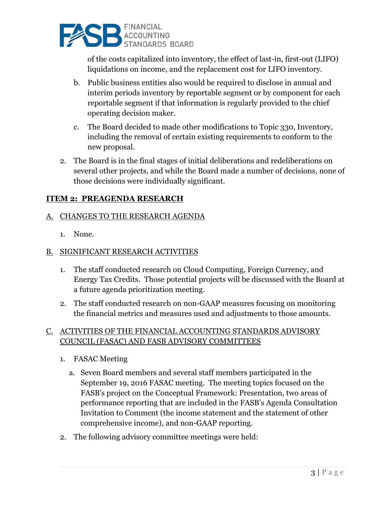

of the costs capitalized into inventory, the effect of last-in, first-out (LIFO) liquidations on income, and the replacement cost for LIFO inventory.

- b. Public business entities also would be required to disclose in annual and interim periods inventory by reportable segment or by component for each reportable segment if that information is regularly provided to the chief operating decision maker.
- c. The Board decided to made other modifications to Topic 330, Inventory, including the removal of certain existing requirements to conform to the new proposal.
- 2. The Board is in the final stages of initial deliberations and redeliberations on several other projects, and while the Board made a number of decisions, none of those decisions were individually significant.

# **ITEM 2: PREAGENDA RESEARCH**

# A. CHANGES TO THE RESEARCH AGENDA

1. None.

# B. SIGNIFICANT RESEARCH ACTIVITIES

- 1. The staff conducted research on Cloud Computing, Foreign Currency, and Energy Tax Credits. Those potential projects will be discussed with the Board at a future agenda prioritization meeting.
- 2. The staff conducted research on non-GAAP measures focusing on monitoring the financial metrics and measures used and adjustments to those amounts.

# C. ACTIVITIES OF THE FINANCIAL ACCOUNTING STANDARDS ADVISORY COUNCIL (FASAC) AND FASB ADVISORY COMMITTEES

- 1. FASAC Meeting
	- a. Seven Board members and several staff members participated in the September 19, 2016 FASAC meeting. The meeting topics focused on the FASB's project on the Conceptual Framework: Presentation, two areas of performance reporting that are included in the FASB's Agenda Consultation Invitation to Comment (the income statement and the statement of other comprehensive income), and non-GAAP reporting.
- 2. The following advisory committee meetings were held: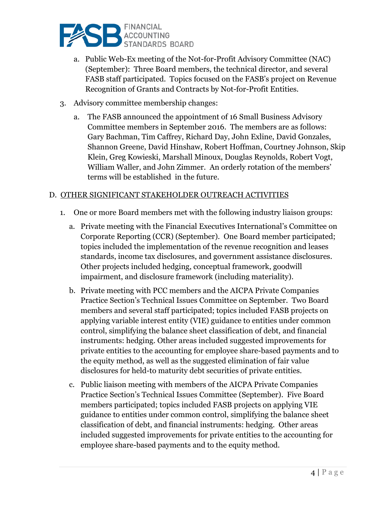

- a. Public Web-Ex meeting of the Not-for-Profit Advisory Committee (NAC) (September): Three Board members, the technical director, and several FASB staff participated. Topics focused on the FASB's project on Revenue Recognition of Grants and Contracts by Not-for-Profit Entities.
- 3. Advisory committee membership changes:
	- a. The FASB announced the appointment of 16 Small Business Advisory Committee members in September 2016. The members are as follows: Gary Bachman, Tim Caffrey, Richard Day, John Exline, David Gonzales, Shannon Greene, David Hinshaw, Robert Hoffman, Courtney Johnson, Skip Klein, Greg Kowieski, Marshall Minoux, Douglas Reynolds, Robert Vogt, William Waller, and John Zimmer. An orderly rotation of the members' terms will be established in the future.

### D. OTHER SIGNIFICANT STAKEHOLDER OUTREACH ACTIVITIES

- 1. One or more Board members met with the following industry liaison groups:
	- a. Private meeting with the Financial Executives International's Committee on Corporate Reporting (CCR) (September). One Board member participated; topics included the implementation of the revenue recognition and leases standards, income tax disclosures, and government assistance disclosures. Other projects included hedging, conceptual framework, goodwill impairment, and disclosure framework (including materiality).
	- b. Private meeting with PCC members and the AICPA Private Companies Practice Section's Technical Issues Committee on September. Two Board members and several staff participated; topics included FASB projects on applying variable interest entity (VIE) guidance to entities under common control, simplifying the balance sheet classification of debt, and financial instruments: hedging. Other areas included suggested improvements for private entities to the accounting for employee share-based payments and to the equity method, as well as the suggested elimination of fair value disclosures for held-to maturity debt securities of private entities.
	- c. Public liaison meeting with members of the AICPA Private Companies Practice Section's Technical Issues Committee (September). Five Board members participated; topics included FASB projects on applying VIE guidance to entities under common control, simplifying the balance sheet classification of debt, and financial instruments: hedging. Other areas included suggested improvements for private entities to the accounting for employee share-based payments and to the equity method.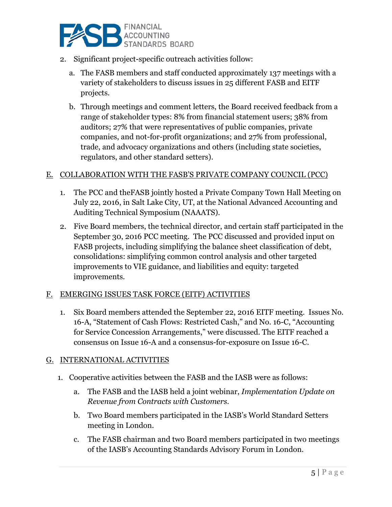

- 2. Significant project-specific outreach activities follow:
	- a. The FASB members and staff conducted approximately 137 meetings with a variety of stakeholders to discuss issues in 25 different FASB and EITF projects.
	- b. Through meetings and comment letters, the Board received feedback from a range of stakeholder types: 8% from financial statement users; 38% from auditors; 27% that were representatives of public companies, private companies, and not-for-profit organizations; and 27% from professional, trade, and advocacy organizations and others (including state societies, regulators, and other standard setters).

### E. COLLABORATION WITH THE FASB'S PRIVATE COMPANY COUNCIL (PCC)

- 1. The PCC and theFASB jointly hosted a Private Company Town Hall Meeting on July 22, 2016, in Salt Lake City, UT, at the National Advanced Accounting and Auditing Technical Symposium (NAAATS).
- 2. Five Board members, the technical director, and certain staff participated in the September 30, 2016 PCC meeting. The PCC discussed and provided input on FASB projects, including simplifying the balance sheet classification of debt, consolidations: simplifying common control analysis and other targeted improvements to VIE guidance, and liabilities and equity: targeted improvements.

### F. EMERGING ISSUES TASK FORCE (EITF) ACTIVITIES

1. Six Board members attended the September 22, 2016 EITF meeting. Issues No. 16-A, "Statement of Cash Flows: Restricted Cash," and No. 16-C, "Accounting for Service Concession Arrangements," were discussed. The EITF reached a consensus on Issue 16-A and a consensus-for-exposure on Issue 16-C.

#### G. INTERNATIONAL ACTIVITIES

- 1. Cooperative activities between the FASB and the IASB were as follows:
	- a. The FASB and the IASB held a joint webinar, *Implementation Update on Revenue from Contracts with Customers.*
	- b. Two Board members participated in the IASB's World Standard Setters meeting in London.
	- c. The FASB chairman and two Board members participated in two meetings of the IASB's Accounting Standards Advisory Forum in London.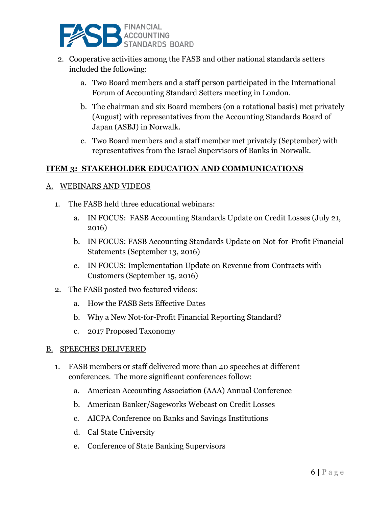

- 2. Cooperative activities among the FASB and other national standards setters included the following:
	- a. Two Board members and a staff person participated in the International Forum of Accounting Standard Setters meeting in London.
	- b. The chairman and six Board members (on a rotational basis) met privately (August) with representatives from the Accounting Standards Board of Japan (ASBJ) in Norwalk.
	- c. Two Board members and a staff member met privately (September) with representatives from the Israel Supervisors of Banks in Norwalk.

# **ITEM 3: STAKEHOLDER EDUCATION AND COMMUNICATIONS**

#### A. WEBINARS AND VIDEOS

- 1. The FASB held three educational webinars:
	- a. IN FOCUS: FASB Accounting Standards Update on Credit Losses (July 21, 2016)
	- b. IN FOCUS: FASB Accounting Standards Update on Not-for-Profit Financial Statements (September 13, 2016)
	- c. IN FOCUS: Implementation Update on Revenue from Contracts with Customers (September 15, 2016)
- 2. The FASB posted two featured videos:
	- a. How the FASB Sets Effective Dates
	- b. Why a New Not-for-Profit Financial Reporting Standard?
	- c. 2017 Proposed Taxonomy

#### B. SPEECHES DELIVERED

- 1. FASB members or staff delivered more than 40 speeches at different conferences. The more significant conferences follow:
	- a. American Accounting Association (AAA) Annual Conference
	- b. American Banker/Sageworks Webcast on Credit Losses
	- c. AICPA Conference on Banks and Savings Institutions
	- d. Cal State University
	- e. Conference of State Banking Supervisors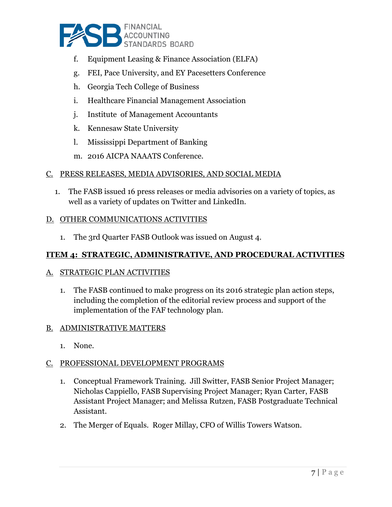

- f. Equipment Leasing & Finance Association (ELFA)
- g. FEI, Pace University, and EY Pacesetters Conference
- h. Georgia Tech College of Business
- i. Healthcare Financial Management Association
- j. Institute of Management Accountants
- k. Kennesaw State University
- l. Mississippi Department of Banking
- m. 2016 AICPA NAAATS Conference.

### C. PRESS RELEASES, MEDIA ADVISORIES, AND SOCIAL MEDIA

1. The FASB issued 16 press releases or media advisories on a variety of topics, as well as a variety of updates on Twitter and LinkedIn.

#### D. OTHER COMMUNICATIONS ACTIVITIES

1. The 3rd Quarter FASB Outlook was issued on August 4.

## **ITEM 4: STRATEGIC, ADMINISTRATIVE, AND PROCEDURAL ACTIVITIES**

### A. STRATEGIC PLAN ACTIVITIES

1. The FASB continued to make progress on its 2016 strategic plan action steps, including the completion of the editorial review process and support of the implementation of the FAF technology plan.

#### B. ADMINISTRATIVE MATTERS

1. None.

### C. PROFESSIONAL DEVELOPMENT PROGRAMS

- 1. Conceptual Framework Training. Jill Switter, FASB Senior Project Manager; Nicholas Cappiello, FASB Supervising Project Manager; Ryan Carter, FASB Assistant Project Manager; and Melissa Rutzen, FASB Postgraduate Technical Assistant.
- 2. The Merger of Equals. Roger Millay, CFO of Willis Towers Watson.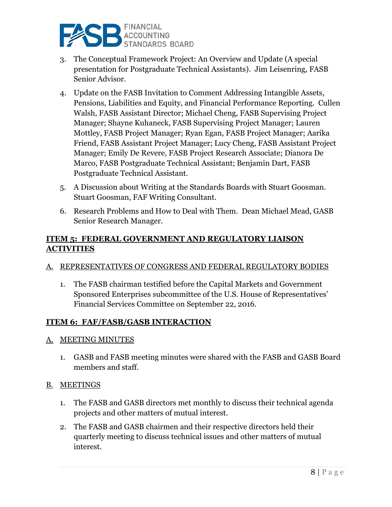

- 3. The Conceptual Framework Project: An Overview and Update (A special presentation for Postgraduate Technical Assistants). Jim Leisenring, FASB Senior Advisor.
- 4. Update on the FASB Invitation to Comment Addressing Intangible Assets, Pensions, Liabilities and Equity, and Financial Performance Reporting. Cullen Walsh, FASB Assistant Director; Michael Cheng, FASB Supervising Project Manager; Shayne Kuhaneck, FASB Supervising Project Manager; Lauren Mottley, FASB Project Manager; Ryan Egan, FASB Project Manager; Aarika Friend, FASB Assistant Project Manager; Lucy Cheng, FASB Assistant Project Manager; Emily De Revere, FASB Project Research Associate; Dianora De Marco, FASB Postgraduate Technical Assistant; Benjamin Dart, FASB Postgraduate Technical Assistant.
- 5. A Discussion about Writing at the Standards Boards with Stuart Goosman. Stuart Goosman, FAF Writing Consultant.
- 6. Research Problems and How to Deal with Them. Dean Michael Mead, GASB Senior Research Manager.

# **ITEM 5: FEDERAL GOVERNMENT AND REGULATORY LIAISON ACTIVITIES**

# A. REPRESENTATIVES OF CONGRESS AND FEDERAL REGULATORY BODIES

1. The FASB chairman testified before the Capital Markets and Government Sponsored Enterprises subcommittee of the U.S. House of Representatives' Financial Services Committee on September 22, 2016.

# **ITEM 6: FAF/FASB/GASB INTERACTION**

### A. MEETING MINUTES

1. GASB and FASB meeting minutes were shared with the FASB and GASB Board members and staff.

### B. MEETINGS

- 1. The FASB and GASB directors met monthly to discuss their technical agenda projects and other matters of mutual interest.
- 2. The FASB and GASB chairmen and their respective directors held their quarterly meeting to discuss technical issues and other matters of mutual interest.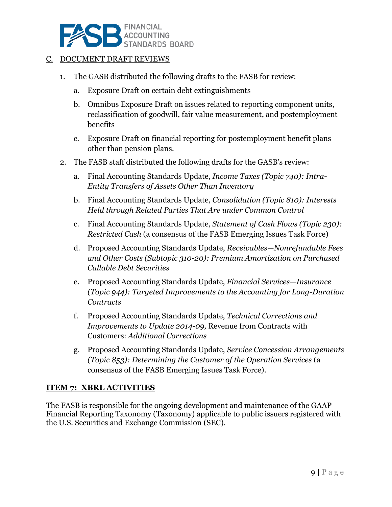

#### C. DOCUMENT DRAFT REVIEWS

- 1. The GASB distributed the following drafts to the FASB for review:
	- a. Exposure Draft on certain debt extinguishments
	- b. Omnibus Exposure Draft on issues related to reporting component units, reclassification of goodwill, fair value measurement, and postemployment benefits
	- c. Exposure Draft on financial reporting for postemployment benefit plans other than pension plans.
- 2. The FASB staff distributed the following drafts for the GASB's review:
	- a. Final Accounting Standards Update, *Income Taxes (Topic 740): Intra-Entity Transfers of Assets Other Than Inventory*
	- b. Final Accounting Standards Update, *Consolidation (Topic 810): Interests Held through Related Parties That Are under Common Control*
	- c. Final Accounting Standards Update, *Statement of Cash Flows (Topic 230): Restricted Cash* (a consensus of the FASB Emerging Issues Task Force)
	- d. Proposed Accounting Standards Update, *Receivables—Nonrefundable Fees and Other Costs (Subtopic 310-20): Premium Amortization on Purchased Callable Debt Securities*
	- e. Proposed Accounting Standards Update, *Financial Services—Insurance (Topic 944): Targeted Improvements to the Accounting for Long-Duration Contracts*
	- f. Proposed Accounting Standards Update, *Technical Corrections and Improvements to Update 2014-09,* Revenue from Contracts with Customers: *Additional Corrections*
	- g. Proposed Accounting Standards Update, *Service Concession Arrangements (Topic 853): Determining the Customer of the Operation Services* (a consensus of the FASB Emerging Issues Task Force).

### **ITEM 7: XBRL ACTIVITIES**

The FASB is responsible for the ongoing development and maintenance of the GAAP Financial Reporting Taxonomy (Taxonomy) applicable to public issuers registered with the U.S. Securities and Exchange Commission (SEC).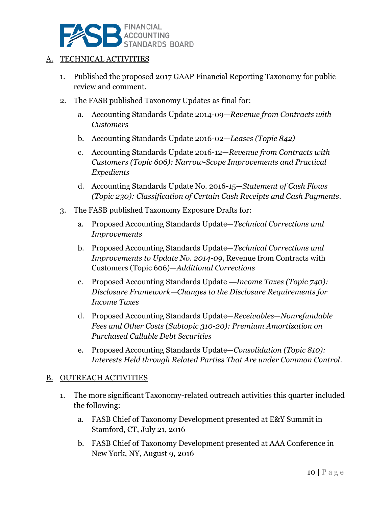

#### A. TECHNICAL ACTIVITIES

- 1. Published the proposed 2017 GAAP Financial Reporting Taxonomy for public review and comment.
- 2. The FASB published Taxonomy Updates as final for:
	- a. Accounting Standards Update 2014-09—*Revenue from Contracts with Customers*
	- b. Accounting Standards Update 2016-02*—Leases (Topic 842)*
	- c. Accounting Standards Update 2016-12—*Revenue from Contracts with Customers (Topic 606): Narrow-Scope Improvements and Practical Expedients*
	- d. Accounting Standards Update No. 2016-15—*Statement of Cash Flows (Topic 230): Classification of Certain Cash Receipts and Cash Payments.*
- 3. The FASB published Taxonomy Exposure Drafts for:
	- a. Proposed Accounting Standards Update—*Technical Corrections and Improvements*
	- b. Proposed Accounting Standards Update—*Technical Corrections and Improvements to Update No. 2014-09*, Revenue from Contracts with Customers (Topic 606)*—Additional Corrections*
	- c. Proposed Accounting Standards Update —*Income Taxes (Topic 740): Disclosure Framework—Changes to the Disclosure Requirements for Income Taxes*
	- d. Proposed Accounting Standards Update—*Receivables—Nonrefundable Fees and Other Costs (Subtopic 310-20): Premium Amortization on Purchased Callable Debt Securities*
	- e. Proposed Accounting Standards Update—*Consolidation (Topic 810): Interests Held through Related Parties That Are under Common Control.*

#### B. OUTREACH ACTIVITIES

- 1. The more significant Taxonomy-related outreach activities this quarter included the following:
	- a. FASB Chief of Taxonomy Development presented at E&Y Summit in Stamford, CT, July 21, 2016
	- b. FASB Chief of Taxonomy Development presented at AAA Conference in New York, NY, August 9, 2016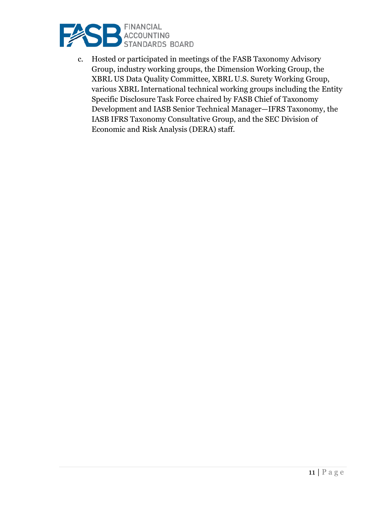

c. Hosted or participated in meetings of the FASB Taxonomy Advisory Group, industry working groups, the Dimension Working Group, the XBRL US Data Quality Committee, XBRL U.S. Surety Working Group, various XBRL International technical working groups including the Entity Specific Disclosure Task Force chaired by FASB Chief of Taxonomy Development and IASB Senior Technical Manager—IFRS Taxonomy, the IASB IFRS Taxonomy Consultative Group, and the SEC Division of Economic and Risk Analysis (DERA) staff.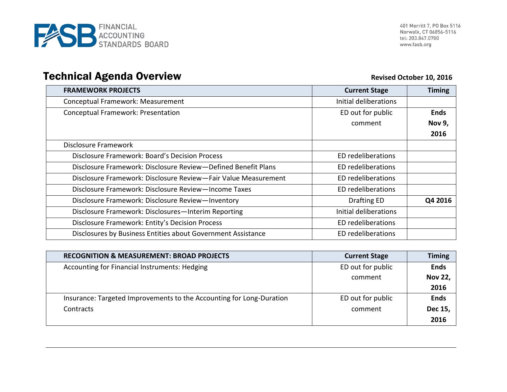

# **Technical Agenda Overview <br>
Revised October 10, 2016**

| <b>FRAMEWORK PROJECTS</b>                                      | <b>Current Stage</b>      | <b>Timing</b> |
|----------------------------------------------------------------|---------------------------|---------------|
| Conceptual Framework: Measurement                              | Initial deliberations     |               |
| Conceptual Framework: Presentation                             | ED out for public         | <b>Ends</b>   |
|                                                                | comment                   | Nov 9,        |
|                                                                |                           | 2016          |
| Disclosure Framework                                           |                           |               |
| Disclosure Framework: Board's Decision Process                 | ED redeliberations        |               |
| Disclosure Framework: Disclosure Review-Defined Benefit Plans  | ED redeliberations        |               |
| Disclosure Framework: Disclosure Review-Fair Value Measurement | ED redeliberations        |               |
| Disclosure Framework: Disclosure Review-Income Taxes           | ED redeliberations        |               |
| Disclosure Framework: Disclosure Review-Inventory              | Drafting ED               | Q4 2016       |
| Disclosure Framework: Disclosures-Interim Reporting            | Initial deliberations     |               |
| Disclosure Framework: Entity's Decision Process                | ED redeliberations        |               |
| Disclosures by Business Entities about Government Assistance   | <b>ED</b> redeliberations |               |

| <b>RECOGNITION &amp; MEASUREMENT: BROAD PROJECTS</b>                 | <b>Current Stage</b> | <b>Timing</b>  |
|----------------------------------------------------------------------|----------------------|----------------|
| Accounting for Financial Instruments: Hedging                        | ED out for public    | <b>Ends</b>    |
|                                                                      | comment              | <b>Nov 22,</b> |
|                                                                      |                      | 2016           |
| Insurance: Targeted Improvements to the Accounting for Long-Duration | ED out for public    | <b>Ends</b>    |
| Contracts                                                            | comment              | Dec 15,        |
|                                                                      |                      | 2016           |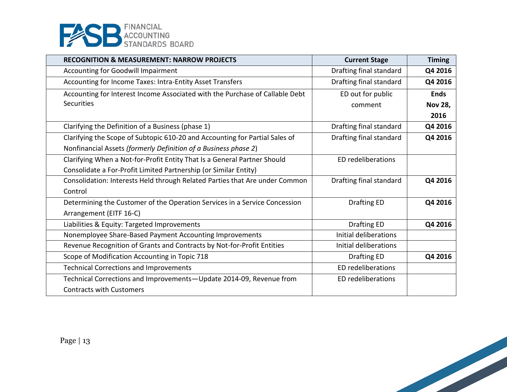

| <b>RECOGNITION &amp; MEASUREMENT: NARROW PROJECTS</b>                        | <b>Current Stage</b>      | <b>Timing</b>  |
|------------------------------------------------------------------------------|---------------------------|----------------|
| Accounting for Goodwill Impairment                                           | Drafting final standard   | Q4 2016        |
| Accounting for Income Taxes: Intra-Entity Asset Transfers                    | Drafting final standard   | Q4 2016        |
| Accounting for Interest Income Associated with the Purchase of Callable Debt | ED out for public         | <b>Ends</b>    |
| <b>Securities</b>                                                            | comment                   | <b>Nov 28,</b> |
|                                                                              |                           | 2016           |
| Clarifying the Definition of a Business (phase 1)                            | Drafting final standard   | Q4 2016        |
| Clarifying the Scope of Subtopic 610-20 and Accounting for Partial Sales of  | Drafting final standard   | Q4 2016        |
| Nonfinancial Assets (formerly Definition of a Business phase 2)              |                           |                |
| Clarifying When a Not-for-Profit Entity That Is a General Partner Should     | ED redeliberations        |                |
| Consolidate a For-Profit Limited Partnership (or Similar Entity)             |                           |                |
| Consolidation: Interests Held through Related Parties that Are under Common  | Drafting final standard   | Q4 2016        |
| Control                                                                      |                           |                |
| Determining the Customer of the Operation Services in a Service Concession   | <b>Drafting ED</b>        | Q4 2016        |
| Arrangement (EITF 16-C)                                                      |                           |                |
| Liabilities & Equity: Targeted Improvements                                  | Drafting ED               | Q4 2016        |
| Nonemployee Share-Based Payment Accounting Improvements                      | Initial deliberations     |                |
| Revenue Recognition of Grants and Contracts by Not-for-Profit Entities       | Initial deliberations     |                |
| Scope of Modification Accounting in Topic 718                                | <b>Drafting ED</b>        | Q4 2016        |
| <b>Technical Corrections and Improvements</b>                                | <b>ED</b> redeliberations |                |
| Technical Corrections and Improvements-Update 2014-09, Revenue from          | <b>ED</b> redeliberations |                |
| <b>Contracts with Customers</b>                                              |                           |                |

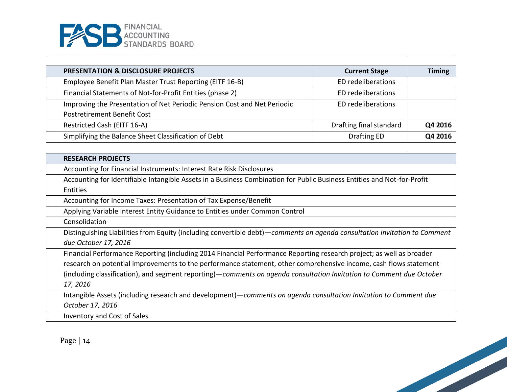

| <b>PRESENTATION &amp; DISCLOSURE PROJECTS</b>                            | <b>Current Stage</b>    | <b>Timing</b> |
|--------------------------------------------------------------------------|-------------------------|---------------|
| Employee Benefit Plan Master Trust Reporting (EITF 16-B)                 | ED redeliberations      |               |
| Financial Statements of Not-for-Profit Entities (phase 2)                | ED redeliberations      |               |
| Improving the Presentation of Net Periodic Pension Cost and Net Periodic | ED redeliberations      |               |
| Postretirement Benefit Cost                                              |                         |               |
| Restricted Cash (EITF 16-A)                                              | Drafting final standard | Q4 2016       |
| Simplifying the Balance Sheet Classification of Debt                     | Drafting ED             | Q4 2016       |

| <b>RESEARCH PROJECTS</b>                                                                                                    |
|-----------------------------------------------------------------------------------------------------------------------------|
| Accounting for Financial Instruments: Interest Rate Risk Disclosures                                                        |
| Accounting for Identifiable Intangible Assets in a Business Combination for Public Business Entities and Not-for-Profit     |
| Entities                                                                                                                    |
| Accounting for Income Taxes: Presentation of Tax Expense/Benefit                                                            |
| Applying Variable Interest Entity Guidance to Entities under Common Control                                                 |
| Consolidation                                                                                                               |
| Distinguishing Liabilities from Equity (including convertible debt) - comments on agenda consultation Invitation to Comment |
| due October 17, 2016                                                                                                        |
| Financial Performance Reporting (including 2014 Financial Performance Reporting research project; as well as broader        |
| research on potential improvements to the performance statement, other comprehensive income, cash flows statement           |
| (including classification), and segment reporting)—comments on agenda consultation Invitation to Comment due October        |
| 17, 2016                                                                                                                    |
| Intangible Assets (including research and development) - comments on agenda consultation Invitation to Comment due          |
| October 17, 2016                                                                                                            |
| Inventory and Cost of Sales                                                                                                 |

Page | 14